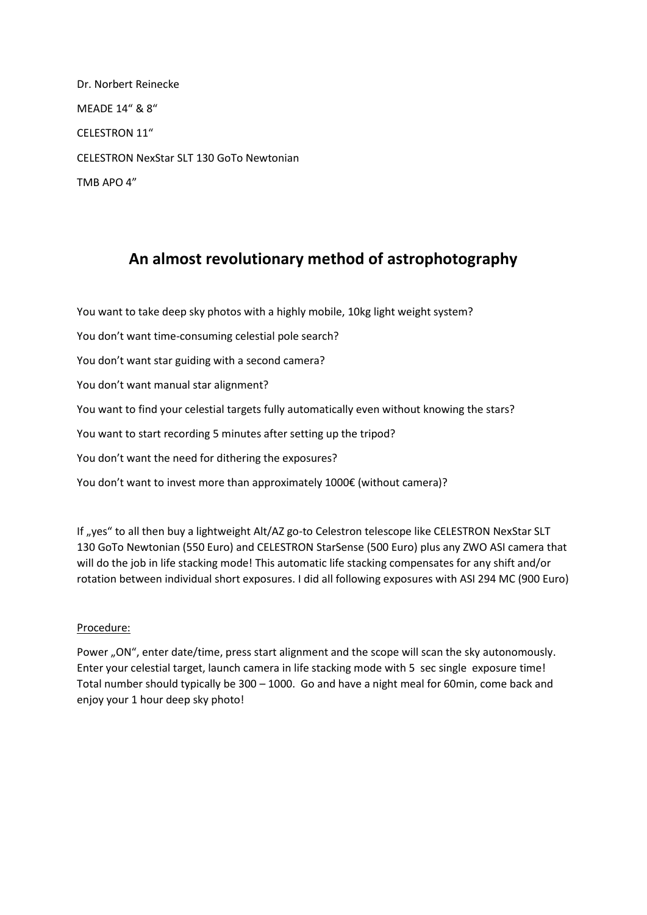Dr. Norbert Reinecke MEADE 14" & 8" CELESTRON 11" CELESTRON NexStar SLT 130 GoTo Newtonian TMB APO 4"

## **An almost revolutionary method of astrophotography**

You want to take deep sky photos with a highly mobile, 10kg light weight system?

You don't want time-consuming celestial pole search?

You don't want star guiding with a second camera?

You don't want manual star alignment?

You want to find your celestial targets fully automatically even without knowing the stars?

You want to start recording 5 minutes after setting up the tripod?

You don't want the need for dithering the exposures?

You don't want to invest more than approximately 1000€ (without camera)?

If "yes" to all then buy a lightweight Alt/AZ go-to Celestron telescope like CELESTRON NexStar SLT 130 GoTo Newtonian (550 Euro) and CELESTRON StarSense (500 Euro) plus any ZWO ASI camera that will do the job in life stacking mode! This automatic life stacking compensates for any shift and/or rotation between individual short exposures. I did all following exposures with ASI 294 MC (900 Euro)

## Procedure:

Power "ON", enter date/time, press start alignment and the scope will scan the sky autonomously. Enter your celestial target, launch camera in life stacking mode with 5 sec single exposure time! Total number should typically be 300 – 1000. Go and have a night meal for 60min, come back and enjoy your 1 hour deep sky photo!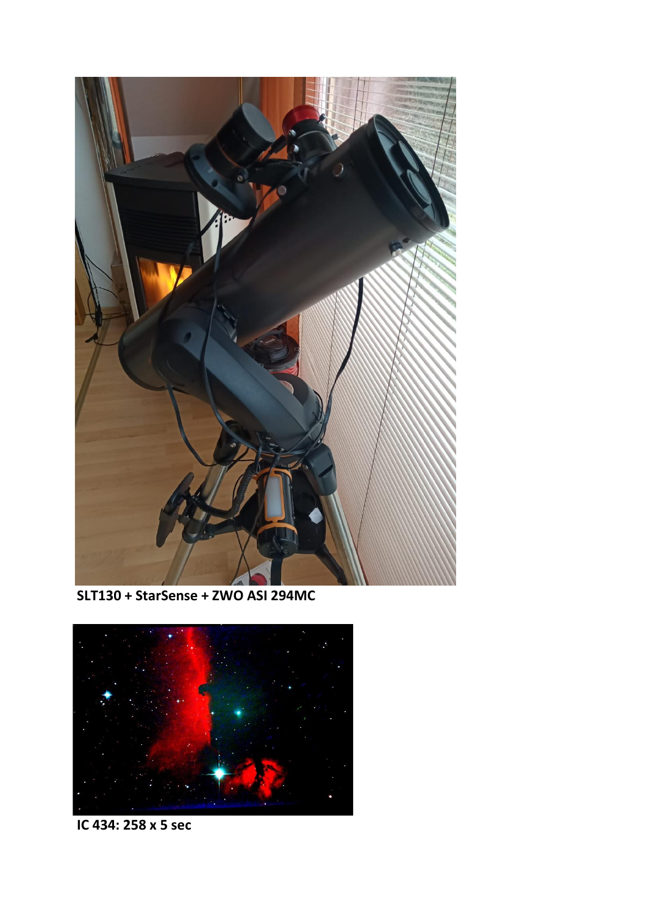

SLT130 + StarSense + ZWO ASI 294MC



IC 434: 258 x 5 sec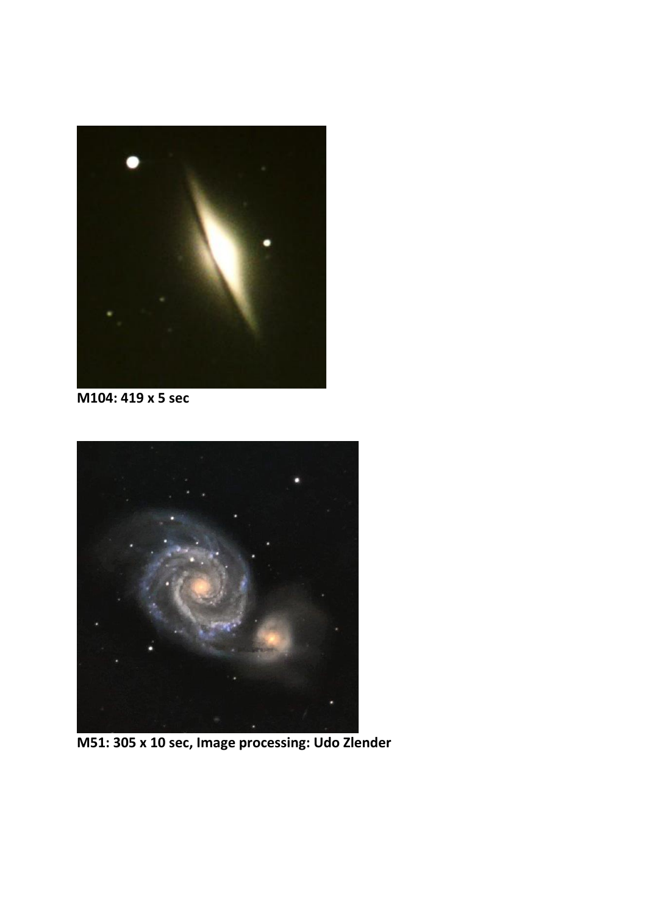

**M104: 419 x 5 sec**



**M51: 305 x 10 sec, Image processing: Udo Zlender**